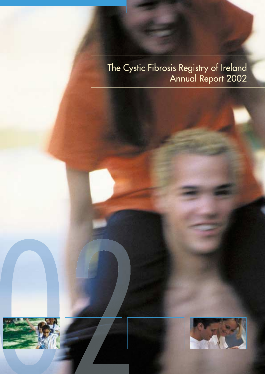# The Cystic Fibrosis Registry of Ireland<br>Annual Report 2002



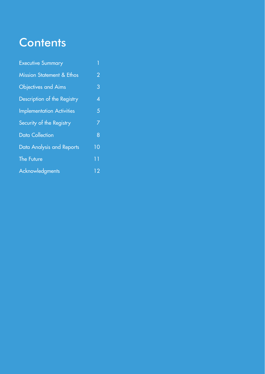# **Contents**

| <b>Executive Summary</b>             | 1              |
|--------------------------------------|----------------|
| <b>Mission Statement &amp; Ethos</b> | $\overline{2}$ |
| <b>Objectives and Aims</b>           | 3              |
| Description of the Registry          | 4              |
| <b>Implementation Activities</b>     | 5              |
| Security of the Registry             | 7              |
| Data Collection                      | 8              |
| Data Analysis and Reports            | 10             |
| <b>The Future</b>                    | 11             |
| <b>Acknowledgments</b>               | 12             |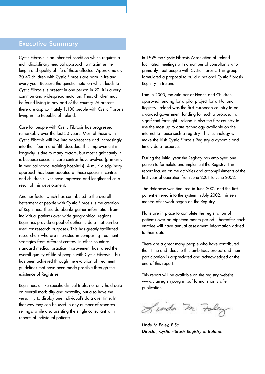# Executive Summary

Cystic Fibrosis is an inherited condition which requires a multi-disciplinary medical approach to maximise the length and quality of life of those affected. Approximately 30-40 children with Cystic Fibrosis are born in Ireland every year. Because the genetic mutation which leads to Cystic Fibrosis is present in one person in 20, it is a very common and widespread mutation. Thus, children may be found living in any part of the country. At present, there are approximately 1,100 people with Cystic Fibrosis living in the Republic of Ireland.

Care for people with Cystic Fibrosis has progressed remarkably over the last 30 years. Most of those with Cystic Fibrosis will live into adolescence and increasingly into their fourth and fifth decades. This improvement in longevity is due to many factors, but most significantly it is because specialist care centres have evolved (primarily in medical school training hospitals). A multi-disciplinary approach has been adopted at these specialist centres and children's lives have improved and lengthened as a result of this development.

Another factor which has contributed to the overall betterment of people with Cystic Fibrosis is the creation of Registries. These databanks gather information from individual patients over wide geographical regions. Registries provide a pool of authentic data that can be used for research purposes. This has greatly facilitated researchers who are interested in comparing treatment strategies from different centres. In other countries, standard medical practice improvement has raised the overall quality of life of people with Cystic Fibrosis. This has been achieved through the evolution of treatment guidelines that have been made possible through the existence of Registries.

Registries, unlike specific clinical trials, not only hold data on overall morbidity and mortality, but also have the versatility to display one individual's data over time. In that way they can be used in any number of research settings, while also assisting the single consultant with reports of individual patients.

In 1999 the Cystic Fibrosis Association of Ireland facilitated meetings with a number of consultants who primarily treat people with Cystic Fibrosis. This group formulated a proposal to build a national Cystic Fibrosis Registry in Ireland.

Late in 2000, the Minister of Health and Children approved funding for a pilot project for a National Registry. Ireland was the first European country to be awarded government funding for such a proposal, a significant foresight. Ireland is also the first country to use the most up to date technology available on the internet to house such a registry. This technology will make the Irish Cystic Fibrosis Registry a dynamic and timely data resource.

During the initial year the Registry has employed one person to formulate and implement the Registry. This report focuses on the activities and accomplishments of the first year of operation from June 2001 to June 2002.

The database was finalised in June 2002 and the first patient entered into the system in July 2002, thirteen months after work began on the Registry.

Plans are in place to complete the registration of patients over an eighteen month period. Thereafter each enrolee will have annual assessment information added to their data.

There are a great many people who have contributed their time and ideas to this ambitious project and their participation is appreciated and acknowledged at the end of this report.

This report will be available on the registry website, www.cfairegistry.org in pdf format shortly after publication.

Linda M. Foley

*Linda M Foley, B.Sc. Director, Cystic Fibrosis Registry of Ireland.*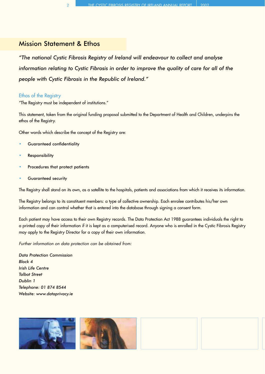# Mission Statement & Ethos

*"The national Cystic Fibrosis Registry of Ireland will endeavour to collect and analyse information relating to Cystic Fibrosis in order to improve the quality of care for all of the people with Cystic Fibrosis in the Republic of Ireland."*

#### Ethos of the Registry

"The Registry must be independent of institutions."

This statement, taken from the original funding proposal submitted to the Department of Health and Children, underpins the ethos of the Registry.

Other words which describe the concept of the Registry are:

- Guaranteed confidentiality
- **Responsibility**
- Procedures that protect patients
- Guaranteed security

The Registry shall stand on its own, as a satellite to the hospitals, patients and associations from which it receives its information.

The Registry belongs to its constituent members: a type of collective ownership. Each enrolee contributes his/her own information and can control whether that is entered into the database through signing a consent form.

Each patient may have access to their own Registry records. The Data Protection Act 1988 guarantees individuals the right to a printed copy of their information if it is kept as a computerised record. Anyone who is enrolled in the Cystic Fibrosis Registry may apply to the Registry Director for a copy of their own information.

*Further information on data protection can be obtained from:* 

*Data Protection Commission Block 4 Irish Life Centre Talbot Street Dublin 1 Telephone: 01 874 8544 Website: www.dataprivacy.ie* 

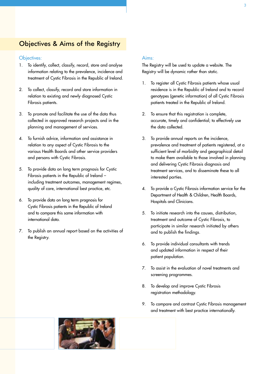# Objectives & Aims of the Registry

#### Objectives:

- 1. To identify, collect, classify, record, store and analyse information relating to the prevalence, incidence and treatment of Cystic Fibrosis in the Republic of Ireland.
- 2. To collect, classify, record and store information in relation to existing and newly diagnosed Cystic Fibrosis patients.
- 3. To promote and facilitate the use of the data thus collected in approved research projects and in the planning and management of services.
- 4. To furnish advice, information and assistance in relation to any aspect of Cystic Fibrosis to the various Health Boards and other service providers and persons with Cystic Fibrosis.
- 5. To provide data on long term prognosis for Cystic Fibrosis patients in the Republic of Ireland – including treatment outcomes, management regimes, quality of care, international best practice, etc.
- 6. To provide data on long term prognosis for Cystic Fibrosis patients in the Republic of Ireland and to compare this same information with international data.
- 7. To publish an annual report based on the activities of the Registry.

#### Aims:

The Registry will be used to update a website. The Registry will be dynamic rather than static.

- 1. To register all Cystic Fibrosis patients whose usual residence is in the Republic of Ireland and to record genotypes (genetic information) of all Cystic Fibrosis patients treated in the Republic of Ireland.
- 2. To ensure that this registration is complete, accurate, timely and confidential; to effectively use the data collected.
- 3. To provide annual reports on the incidence, prevalence and treatment of patients registered, at a sufficient level of morbidity and geographical detail to make them available to those involved in planning and delivering Cystic Fibrosis diagnosis and treatment services, and to disseminate these to all interested parties.
- 4. To provide a Cystic Fibrosis information service for the Department of Health & Children, Health Boards, Hospitals and Clinicians.
- 5. To initiate research into the causes, distribution, treatment and outcome of Cystic Fibrosis, to participate in similar research initiated by others and to publish the findings.
- 6. To provide individual consultants with trends and updated information in respect of their patient population.
- 7. To assist in the evaluation of novel treatments and screening programmes.
- 8. To develop and improve Cystic Fibrosis registration methodology.
- 9. To compare and contrast Cystic Fibrosis management and treatment with best practice internationally.

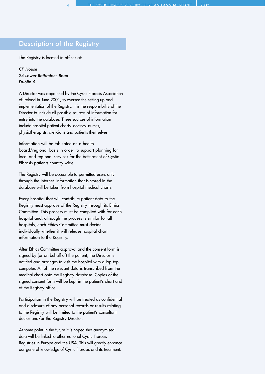# Description of the Registry

The Registry is located in offices at:

*CF House 24 Lower Rathmines Road Dublin 6*

A Director was appointed by the Cystic Fibrosis Association of Ireland in June 2001, to oversee the setting up and implementation of the Registry. It is the responsibility of the Director to include all possible sources of information for entry into the database. These sources of information include hospital patient charts, doctors, nurses, physiotherapists, dieticians and patients themselves.

Information will be tabulated on a health board/regional basis in order to support planning for local and regional services for the betterment of Cystic Fibrosis patients country-wide.

The Registry will be accessible to permitted users only through the internet. Information that is stored in the database will be taken from hospital medical charts.

Every hospital that will contribute patient data to the Registry must approve of the Registry through its Ethics Committee. This process must be complied with for each hospital and, although the process is similar for all hospitals, each Ethics Committee must decide individually whether it will release hospital chart information to the Registry.

After Ethics Committee approval and the consent form is signed by (or on behalf of) the patient, the Director is notified and arranges to visit the hospital with a lap-top computer. All of the relevant data is transcribed from the medical chart onto the Registry database. Copies of the signed consent form will be kept in the patient's chart and at the Registry office.

Participation in the Registry will be treated as confidential and disclosure of any personal records or results relating to the Registry will be limited to the patient's consultant doctor and/or the Registry Director.

At some point in the future it is hoped that anonymised data will be linked to other national Cystic Fibrosis Registries in Europe and the USA. This will greatly enhance our general knowledge of Cystic Fibrosis and its treatment.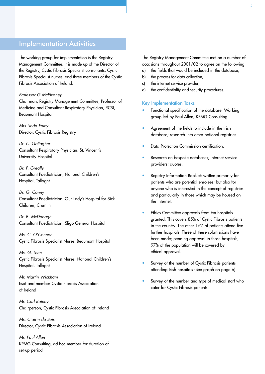# Implementation Activities

The working group for implementation is the Registry Management Committee. It is made up of the Director of the Registry, Cystic Fibrosis Specialist consultants, Cystic Fibrosis Specialist nurses, and three members of the Cystic Fibrosis Association of Ireland.

#### *Professor G McElvaney*

Chairman, Registry Management Committee; Professor of Medicine and Consultant Respiratory Physician, RCSI, Beaumont Hospital

*Mrs Linda Foley* Director, Cystic Fibrosis Registry

*Dr. C. Gallagher* Consultant Respiratory Physician, St. Vincent's University Hospital

*Dr. P. Greally* Consultant Paediatrician, National Children's Hospital, Tallaght

*Dr. G. Canny*  Consultant Paediatrician, Our Lady's Hospital for Sick Children, Crumlin

*Dr. B. McDonagh* Consultant Paediatrician, Sligo General Hospital

*Ms. C. O'Connor*  Cystic Fibrosis Specialist Nurse, Beaumont Hospital

*Ms. G. Leen* Cystic Fibrosis Specialist Nurse, National Children's Hospital, Tallaght

*Mr. Martin Wickham* Esat and member Cystic Fibrosis Association of Ireland

*Mr. Carl Rainey* Chairperson, Cystic Fibrosis Association of Ireland

*Ms. Ciairín de Buis* Director, Cystic Fibrosis Association of Ireland

*Mr. Paul Allen* KPMG Consulting, ad hoc member for duration of set-up period

The Registry Management Committee met on a number of occasions throughout 2001/02 to agree on the following:

- a) the fields that would be included in the database;
- b) the process for data collection:
- c) the internet service provider;
- d) the confidentiality and security procedures.

#### Key Implementation Tasks

- Functional specification of the database. Working group led by Paul Allen, KPMG Consulting.
- Agreement of the fields to include in the Irish database; research into other national registries.
- Data Protection Commission certification.
- Research on bespoke databases; Internet service providers; quotes.
- Registry Information Booklet: written primarily for patients who are potential enrolees; but also for anyone who is interested in the concept of registries and particularly in those which may be housed on the internet.
- Ethics Committee approvals from ten hospitals granted. This covers 85% of Cystic Fibrosis patients in the country. The other 15% of patients attend five further hospitals. Three of these submissions have been made; pending approval in those hospitals, 97% of the population will be covered by ethical approval.
- Survey of the number of Cystic Fibrosis patients attending Irish hospitals (See graph on page 6).
- Survey of the number and type of medical staff who cater for Cystic Fibrosis patients.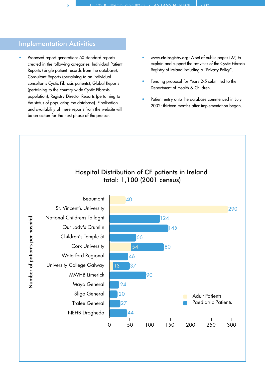# Implementation Activities

- Proposed report generation: 50 standard reports created in the following categories: Individual Patient Reports (single patient records from the database); Consultant Reports (pertaining to an individual consultants Cystic Fibrosis patients); Global Reports (pertaining to the country-wide Cystic Fibrosis population); Registry Director Reports (pertaining to the status of populating the database). Finalisation and availability of these reports from the website will be an action for the next phase of the project.
- www.cfairegistry.org: A set of public pages (27) to explain and support the activities of the Cystic Fibrosis Registry of Ireland including a "Privacy Policy".
- Funding proposal for Years 2-5 submitted to the Department of Health & Children.
- Patient entry onto the database commenced in July 2002; thirteen months after implementation began.

# Hospital Distribution of CF patients in Ireland total: 1,100 (2001 census)

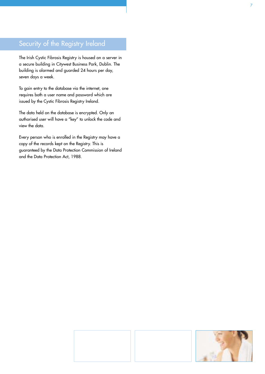# Security of the Registry Ireland

The Irish Cystic Fibrosis Registry is housed on a server in a secure building in Citywest Business Park, Dublin. The building is alarmed and guarded 24 hours per day, seven days a week.

To gain entry to the database via the internet, one requires both a user name and password which are issued by the Cystic Fibrosis Registry Ireland.

The data held on the database is encrypted. Only an authorised user will have a "key " to unlock the code and view the data.

Every person who is enrolled in the Registry may have a copy of the records kept on the Registry. This is guaranteed by the Data Protection Commission of Ireland and the Data Protection Act, 1988.

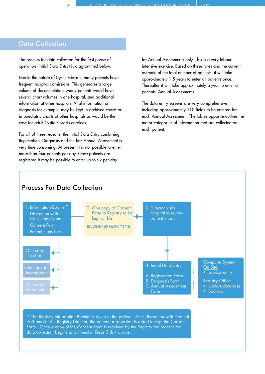# Data Collection

The process for data collection for the first phase of operation (Initial Data Entry) is diagrammed below.

Due to the nature of Cystic Fibrosis, many patients have frequent hospital admissions. This generates a large volume of documentation. Many patients would have several chart volumes in one hospital, and additional information at other hospitals. Vital information on diagnosis for example, may be kept in archived charts or in paediatric charts at other hospitals as would be the case for adult Cystic Fibrosis enrolees.

For all of these reasons, the Initial Data Entry combining Registration, Diagnosis and the first Annual Assessment is very time consuming. At present it is not possible to enter more than four patients per day. Once patients are registered it may be possible to enter up to six per day

for Annual Assessments only. This is a very labour intensive exercise. Based on these rates and the current estimate of the total number of patients, it will take approximately 1.5 years to enter all patients once. Thereafter it will take approximately a year to enter all patients' Annual Assessments.

The data entry screens are very comprehensive, including approximately 110 fields to be entered for each Annual Assessment. The tables opposite outline the major categories of information that are collected on each patient.

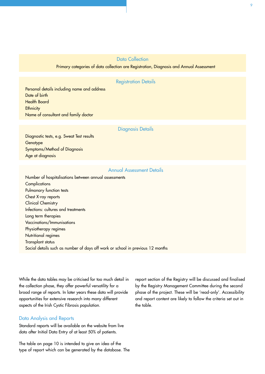### Data Collection

#### Primary categories of data collection are Registration, Diagnosis and Annual Assessment

#### Registration Details

Personal details including name and address Date of birth Health Board **Ethnicity** Name of consultant and family doctor

#### Diagnosis Details

Diagnostic tests, e.g. Sweat Test results **Genotype** Symptoms/Method of Diagnosis Age at diagnosis

#### Annual Assessment Details

Number of hospitalisations between annual assessments **Complications** Pulmonary function tests Chest X-ray reports Clinical Chemistry Infections: cultures and treatments Long term therapies Vaccinations/Immunisations Physiotherapy regimes Nutritional regimes Transplant status Social details such as number of days off work or school in previous 12 months

While the data tables may be criticised for too much detail in the collection phase, they offer powerful versatility for a broad range of reports. In later years these data will provide opportunities for extensive research into many different aspects of the Irish Cystic Fibrosis population.

#### Data Analysis and Reports

Standard reports will be available on the website from live data after Initial Data Entry of at least 50% of patients.

The table on page 10 is intended to give an idea of the type of report which can be generated by the database. The report section of the Registry will be discussed and finalised by the Registry Management Committee during the second phase of the project. These will be 'read-only'. Accessibility and report content are likely to follow the criteria set out in the table.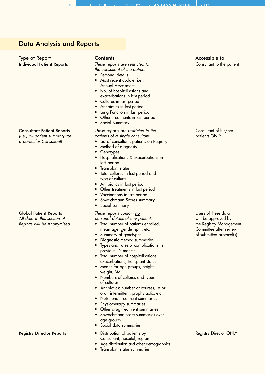# Data Analysis and Reports

| <b>Type of Report</b>                                                                           | <b>Contents</b>                                                                                                                                                                                                                                                                                                                                                                                                                                                                                                                                                                                                                                                                                                                                  | Accessible to:                                                                                                              |  |
|-------------------------------------------------------------------------------------------------|--------------------------------------------------------------------------------------------------------------------------------------------------------------------------------------------------------------------------------------------------------------------------------------------------------------------------------------------------------------------------------------------------------------------------------------------------------------------------------------------------------------------------------------------------------------------------------------------------------------------------------------------------------------------------------------------------------------------------------------------------|-----------------------------------------------------------------------------------------------------------------------------|--|
| <b>Individual Patient Reports</b>                                                               | These reports are restricted to<br>the consultant of the patient.<br>Personal details<br>Most recent update, i.e.,<br>Annual Assessment<br>No. of hospitalisations and<br>exacerbations in last period<br>Cultures in last period<br>Antibiotics in last period<br>$\bullet$<br>Lung Function in last period<br>Other Treatments in last period<br>Social Summary                                                                                                                                                                                                                                                                                                                                                                                | Consultant to the patient                                                                                                   |  |
| <b>Consultant Patient Reports</b><br>(i.e., all patient summary for<br>a particular Consultant) | These reports are restricted to the<br>patients of a single consultant.<br>List of consultants patients on Registry<br>Method of diagnosis<br>Genotypes<br>Hospitalisations & exacerbations in<br>last period<br>Transplant status<br>Total cultures in last period and<br>type of culture<br>Antibiotics in last period<br>Other treatments in last period<br>Vaccinations in last period<br>Shwachmann Scores summary<br>Social summary<br>$\bullet$                                                                                                                                                                                                                                                                                           | Consultant of his/her<br>patients ONLY                                                                                      |  |
| <b>Global Patient Reports</b><br>All data in this section of<br>Reports will be Anonymised      | These reports contain no<br>personal details of any patient.<br>Total number of patients enrolled,<br>mean age, gender split, etc.<br>Summary of genotypes<br>$\bullet$<br>Diagnostic method summaries<br>Types and rates of complications in<br>previous 12 months<br>Total number of hospitalisations,<br>$\bullet$<br>exacerbations, transplant status<br>Means for age groups, height,<br>$\bullet$<br>weight, BMI<br>Numbers of cultures and types<br>$\bullet$<br>of cultures<br>Antibiotics: number of courses, IV or<br>oral, intermittent, prophylactic, etc.<br>Nutritional treatment summaries<br>Physiotherapy summaries<br>Other drug treatment summaries<br>Shwachmann score summaries over<br>age groups<br>Social data summaries | Users of these data<br>will be approved by<br>the Registry Management<br>Committee after review<br>of submitted protocol(s) |  |
| <b>Registry Director Reports</b>                                                                | Distribution of patients by<br>$\bullet$<br>Consultant, hospital, region<br>Age distribution and other demographics<br>Transplant status summaries<br>$\bullet$                                                                                                                                                                                                                                                                                                                                                                                                                                                                                                                                                                                  | <b>Registry Director ONLY</b>                                                                                               |  |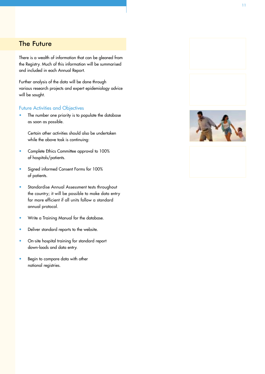# The Future

There is a wealth of information that can be gleaned from the Registry. Much of this information will be summarised and included in each Annual Report.

Further analysis of the data will be done through various research projects and expert epidemiology advice will be sought.

#### Future Activities and Objectives

• The number one priority is to populate the database as soon as possible.

Certain other activities should also be undertaken while the above task is continuing:

- Complete Ethics Committee approval to 100% of hospitals/patients.
- Signed informed Consent Forms for 100% of patients.
- Standardise Annual Assessment tests throughout the country; it will be possible to make data entry far more efficient if all units follow a standard annual protocol.
- Write a Training Manual for the database.
- Deliver standard reports to the website.
- On-site hospital training for standard report down-loads and data entry.
- Begin to compare data with other national registries.





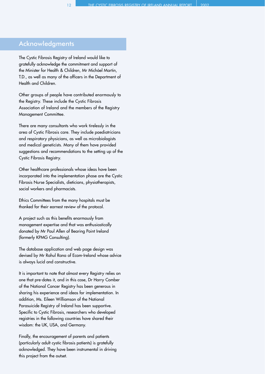## Acknowledgments

The Cystic Fibrosis Registry of Ireland would like to gratefully acknowledge the commitment and support of the Minister for Health & Children, Mr Micháel Martin, T.D., as well as many of the officers in the Department of Health and Children.

Other groups of people have contributed enormously to the Registry. These include the Cystic Fibrosis Association of Ireland and the members of the Registry Management Committee.

There are many consultants who work tirelessly in the area of Cystic Fibrosis care. They include paediatricians and respiratory physicians, as well as microbiologists and medical geneticists. Many of them have provided suggestions and recommendations to the setting up of the Cystic Fibrosis Registry.

Other healthcare professionals whose ideas have been incorporated into the implementation phase are the Cystic Fibrosis Nurse Specialists, dieticians, physiotherapists, social workers and pharmacists.

Ethics Committees from the many hospitals must be thanked for their earnest review of the protocol.

A project such as this benefits enormously from management expertise and that was enthusiastically donated by Mr Paul Allen of Bearing Point Ireland (formerly KPMG Consulting).

The database application and web page design was devised by Mr Rahul Rana of Ecom-Ireland whose advice is always lucid and constructive.

It is important to note that almost every Registry relies on one that pre-dates it, and in this case, Dr Harry Comber of the National Cancer Registry has been generous in sharing his experience and ideas for implementation. In addition, Ms. Eileen Williamson of the National Parasuicide Registry of Ireland has been supportive. Specific to Cystic Fibrosis, researchers who developed registries in the following countries have shared their wisdom: the UK, USA, and Germany.

Finally, the encouragement of parents and patients (particularly adult cystic fibrosis patients) is gratefully acknowledged. They have been instrumental in driving this project from the outset.